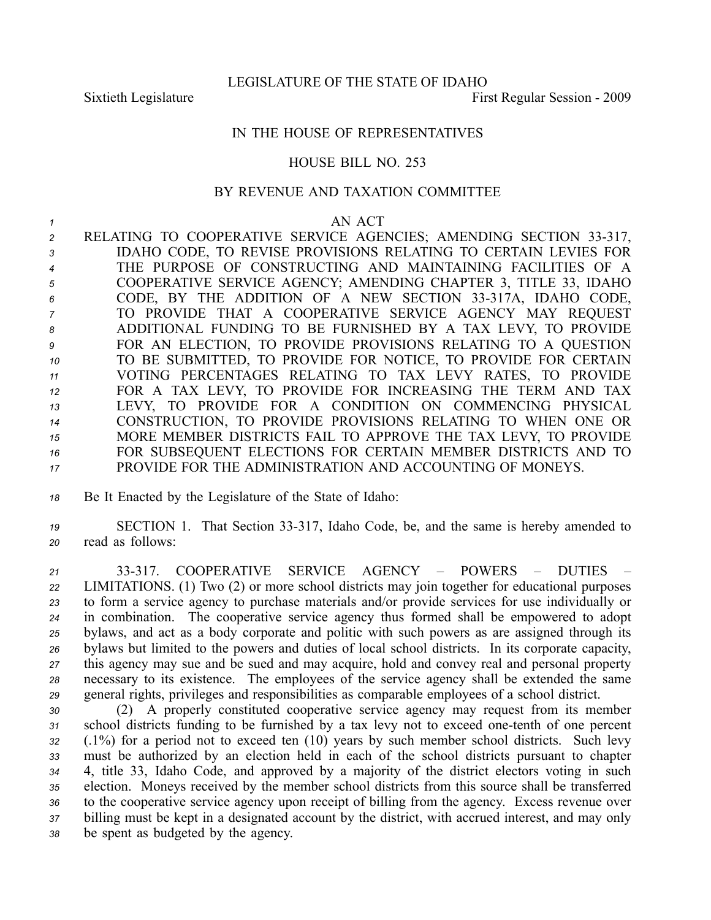LEGISLATURE OF THE STATE OF IDAHO

Sixtieth Legislature First Regular Session - 2009

## IN THE HOUSE OF REPRESENTATIVES

## HOUSE BILL NO. 253

## BY REVENUE AND TAXATION COMMITTEE

## *1* AN ACT

2 RELATING TO COOPERATIVE SERVICE AGENCIES; AMENDING SECTION 33-317, IDAHO CODE, TO REVISE PROVISIONS RELATING TO CERTAIN LEVIES FOR THE PURPOSE OF CONSTRUCTING AND MAINTAINING FACILITIES OF A COOPERATIVE SERVICE AGENCY; AMENDING CHAPTER 3, TITLE 33, IDAHO CODE, BY THE ADDITION OF A NEW SECTION 33317A, IDAHO CODE, TO PROVIDE THAT A COOPERATIVE SERVICE AGENCY MAY REQUEST ADDITIONAL FUNDING TO BE FURNISHED BY A TAX LEVY, TO PROVIDE FOR AN ELECTION, TO PROVIDE PROVISIONS RELATING TO A QUESTION TO BE SUBMITTED, TO PROVIDE FOR NOTICE, TO PROVIDE FOR CERTAIN VOTING PERCENTAGES RELATING TO TAX LEVY RATES, TO PROVIDE FOR A TAX LEVY, TO PROVIDE FOR INCREASING THE TERM AND TAX LEVY, TO PROVIDE FOR A CONDITION ON COMMENCING PHYSICAL CONSTRUCTION, TO PROVIDE PROVISIONS RELATING TO WHEN ONE OR MORE MEMBER DISTRICTS FAIL TO APPROVE THE TAX LEVY, TO PROVIDE FOR SUBSEQUENT ELECTIONS FOR CERTAIN MEMBER DISTRICTS AND TO PROVIDE FOR THE ADMINISTRATION AND ACCOUNTING OF MONEYS.

- *<sup>18</sup>* Be It Enacted by the Legislature of the State of Idaho:
- 19 **SECTION 1.** That Section 33-317, Idaho Code, be, and the same is hereby amended to *<sup>20</sup>* read as follows:

 33317. COOPERATIVE SERVICE AGENCY – POWERS – DUTIES – LIMITATIONS. (1) Two (2) or more school districts may join together for educational purposes to form <sup>a</sup> service agency to purchase materials and/or provide services for use individually or in combination. The cooperative service agency thus formed shall be empowered to adopt bylaws, and act as <sup>a</sup> body corporate and politic with such powers as are assigned through its bylaws but limited to the powers and duties of local school districts. In its corporate capacity, this agency may sue and be sued and may acquire, hold and convey real and personal property necessary to its existence. The employees of the service agency shall be extended the same general rights, privileges and responsibilities as comparable employees of <sup>a</sup> school district.

 (2) A properly constituted cooperative service agency may reques<sup>t</sup> from its member 31 school districts funding to be furnished by a tax levy not to exceed one-tenth of one percent (.1%) for <sup>a</sup> period not to exceed ten (10) years by such member school districts. Such levy must be authorized by an election held in each of the school districts pursuan<sup>t</sup> to chapter 4, title 33, Idaho Code, and approved by <sup>a</sup> majority of the district electors voting in such election. Moneys received by the member school districts from this source shall be transferred to the cooperative service agency upon receipt of billing from the agency. Excess revenue over billing must be kept in <sup>a</sup> designated account by the district, with accrued interest, and may only be spen<sup>t</sup> as budgeted by the agency.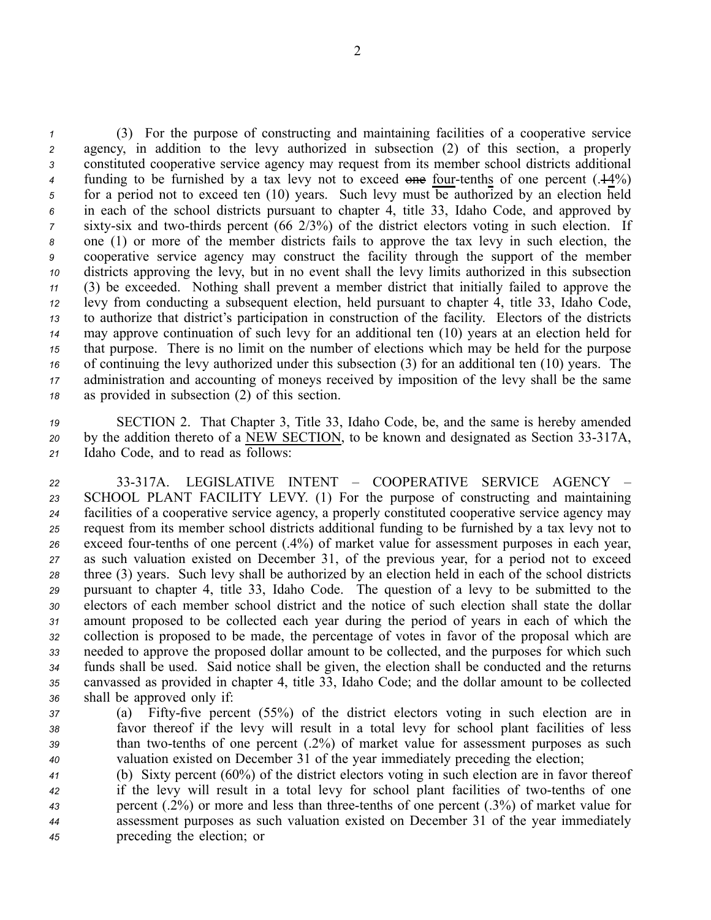(3) For the purpose of constructing and maintaining facilities of <sup>a</sup> cooperative service agency, in addition to the levy authorized in subsection (2) of this section, <sup>a</sup> properly constituted cooperative service agency may reques<sup>t</sup> from its member school districts additional funding to be furnished by a tax levy not to exceed one four-tenths of one percent (.44%) for <sup>a</sup> period not to exceed ten (10) years. Such levy must be authorized by an election held in each of the school districts pursuan<sup>t</sup> to chapter 4, title 33, Idaho Code, and approved by sixty-six and two-thirds percent (66 2/3%) of the district electors voting in such election. If one (1) or more of the member districts fails to approve the tax levy in such election, the cooperative service agency may construct the facility through the suppor<sup>t</sup> of the member districts approving the levy, but in no event shall the levy limits authorized in this subsection (3) be exceeded. Nothing shall preven<sup>t</sup> <sup>a</sup> member district that initially failed to approve the levy from conducting <sup>a</sup> subsequent election, held pursuan<sup>t</sup> to chapter 4, title 33, Idaho Code, to authorize that district's participation in construction of the facility. Electors of the districts may approve continuation of such levy for an additional ten (10) years at an election held for that purpose. There is no limit on the number of elections which may be held for the purpose of continuing the levy authorized under this subsection (3) for an additional ten (10) years. The administration and accounting of moneys received by imposition of the levy shall be the same as provided in subsection (2) of this section.

*<sup>19</sup>* SECTION 2. That Chapter 3, Title 33, Idaho Code, be, and the same is hereby amended 20 by the addition thereto of a NEW SECTION, to be known and designated as Section 33-317A, *<sup>21</sup>* Idaho Code, and to read as follows:

 33317A. LEGISLATIVE INTENT – COOPERATIVE SERVICE AGENCY – SCHOOL PLANT FACILITY LEVY. (1) For the purpose of constructing and maintaining facilities of <sup>a</sup> cooperative service agency, <sup>a</sup> properly constituted cooperative service agency may reques<sup>t</sup> from its member school districts additional funding to be furnished by <sup>a</sup> tax levy not to 26 exceed four-tenths of one percent (.4%) of market value for assessment purposes in each year, as such valuation existed on December 31, of the previous year, for <sup>a</sup> period not to exceed three (3) years. Such levy shall be authorized by an election held in each of the school districts pursuan<sup>t</sup> to chapter 4, title 33, Idaho Code. The question of <sup>a</sup> levy to be submitted to the electors of each member school district and the notice of such election shall state the dollar amount proposed to be collected each year during the period of years in each of which the collection is proposed to be made, the percentage of votes in favor of the proposal which are needed to approve the proposed dollar amount to be collected, and the purposes for which such funds shall be used. Said notice shall be given, the election shall be conducted and the returns canvassed as provided in chapter 4, title 33, Idaho Code; and the dollar amount to be collected shall be approved only if:

- *37* (a) Fifty-five percent (55%) of the district electors voting in such election are in *<sup>38</sup>* favor thereof if the levy will result in <sup>a</sup> total levy for school plant facilities of less *39* than two-tenths of one percent (.2%) of market value for assessment purposes as such *<sup>40</sup>* valuation existed on December 31 of the year immediately preceding the election;
- *<sup>41</sup>* (b) Sixty percen<sup>t</sup> (60%) of the district electors voting in such election are in favor thereof *42* if the levy will result in a total levy for school plant facilities of two-tenths of one *43* percent (.2%) or more and less than three-tenths of one percent (.3%) of market value for *<sup>44</sup>* assessment purposes as such valuation existed on December 31 of the year immediately *<sup>45</sup>* preceding the election; or